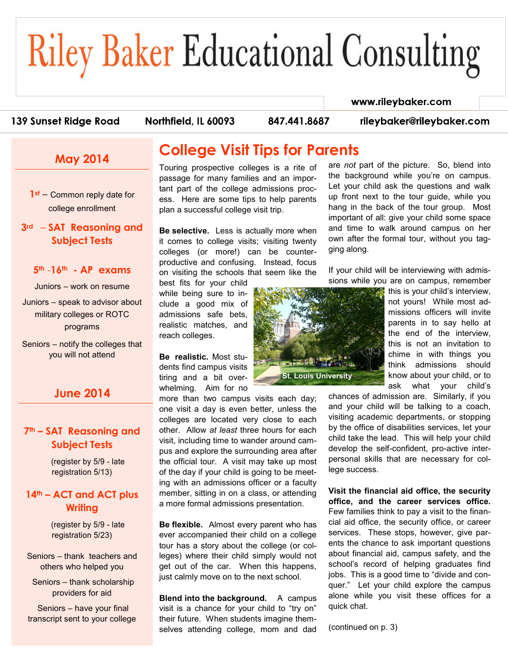# **Riley Baker Educational Consulting**

#### www.rileybaker.com

#### 139 Sunset Ridge Road

Northfield, IL 60093

847.441.8687

rileybaker@rileybaker.com

## **May 2014**

**1st** – Common reply date for college enrollment

#### **3rd** – **SAT Reasoning and Subject Tests**

#### **5th** -**16th - AP exams**

Juniors – work on resume

Juniors – speak to advisor about military colleges or ROTC programs

Seniors – notify the colleges that you will not attend

### **June 2014**

#### **7th – SAT Reasoning and Subject Tests**

(register by 5/9 - late registration 5/13)

#### **14th – ACT and ACT plus Writing**

(register by 5/9 - late registration 5/23)

Seniors – thank teachers and others who helped you

Seniors – thank scholarship providers for aid

Seniors – have your final transcript sent to your college

## **College Visit Tips for Parents**

Touring prospective colleges is a rite of passage for many families and an important part of the college admissions process. Here are some tips to help parents plan a successful college visit trip.

**Be selective.** Less is actually more when it comes to college visits; visiting twenty colleges (or more!) can be counterproductive and confusing. Instead, focus on visiting the schools that seem like the

best fits for your child while being sure to include a good mix of admissions safe bets, realistic matches, and reach colleges.

**Be realistic.** Most students find campus visits tiring and a bit overwhelming. Aim for no

more than two campus visits each day; one visit a day is even better, unless the colleges are located very close to each other. Allow *at least* three hours for each visit, including time to wander around campus and explore the surrounding area after the official tour. A visit may take up most of the day if your child is going to be meeting with an admissions officer or a faculty member, sitting in on a class, or attending a more formal admissions presentation.

**Be flexible.** Almost every parent who has ever accompanied their child on a college tour has a story about the college (or colleges) where their child simply would not get out of the car. When this happens, just calmly move on to the next school.

**Blend into the background.** A campus visit is a chance for your child to "try on" their future. When students imagine themselves attending college, mom and dad

**St. Louis University**

are *not* part of the picture. So, blend into the background while you're on campus. Let your child ask the questions and walk up front next to the tour guide, while you hang in the back of the tour group. Most important of all: give your child some space and time to walk around campus on her own after the formal tour, without you tagging along.

If your child will be interviewing with admissions while you are on campus, remember

this is your child's interview, not yours! While most admissions officers will invite parents in to say hello at the end of the interview, this is not an invitation to chime in with things you think admissions should know about your child, or to ask what your child's

chances of admission are. Similarly, if you and your child will be talking to a coach, visiting academic departments, or stopping by the office of disabilities services, let your child take the lead. This will help your child develop the self-confident, pro-active interpersonal skills that are necessary for college success.

**Visit the financial aid office, the security office, and the career services office.** Few families think to pay a visit to the financial aid office, the security office, or career services. These stops, however, give parents the chance to ask important questions about financial aid, campus safety, and the school's record of helping graduates find jobs. This is a good time to "divide and conquer." Let your child explore the campus alone while you visit these offices for a quick chat.

(continued on p. 3)

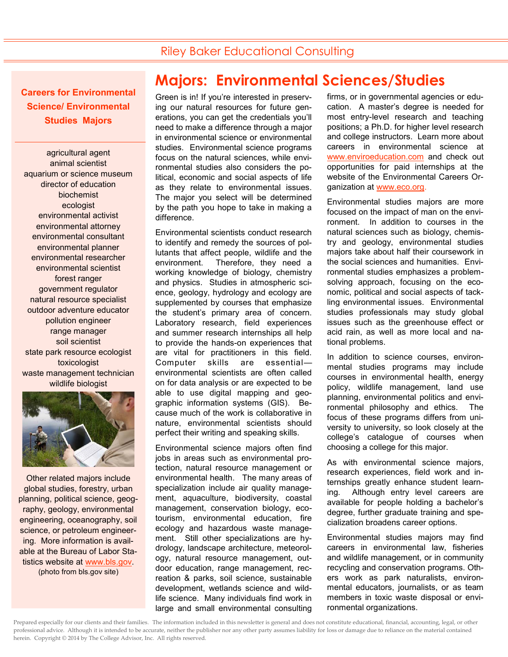## Riley Baker Educational Consulting

**Careers for Environmental Science/ Environmental Studies Majors**

agricultural agent animal scientist aquarium or science museum director of education biochemist ecologist environmental activist environmental attorney environmental consultant environmental planner environmental researcher environmental scientist forest ranger government regulator natural resource specialist outdoor adventure educator pollution engineer range manager soil scientist state park resource ecologist toxicologist waste management technician wildlife biologist



Other related majors include global studies, forestry, urban planning, political science, geography, geology, environmental engineering, oceanography, soil science, or petroleum engineering. More information is available at the Bureau of Labor Statistics website at [www.bls.gov.](http://www.bls.gov/ooh/life-physical-and-social-science/environmental-scientists-and-specialists.htm)  (photo from bls.gov site)

# **Majors: Environmental Sciences/Studies**

Green is in! If you're interested in preserving our natural resources for future generations, you can get the credentials you'll need to make a difference through a major in environmental science or environmental studies. Environmental science programs focus on the natural sciences, while environmental studies also considers the political, economic and social aspects of life as they relate to environmental issues. The major you select will be determined by the path you hope to take in making a difference.

Environmental scientists conduct research to identify and remedy the sources of pollutants that affect people, wildlife and the environment. Therefore, they need a working knowledge of biology, chemistry and physics. Studies in atmospheric science, geology, hydrology and ecology are supplemented by courses that emphasize the student's primary area of concern. Laboratory research, field experiences and summer research internships all help to provide the hands-on experiences that are vital for practitioners in this field. Computer skills are essential environmental scientists are often called on for data analysis or are expected to be able to use digital mapping and geographic information systems (GIS). Because much of the work is collaborative in nature, environmental scientists should perfect their writing and speaking skills.

Environmental science majors often find jobs in areas such as environmental protection, natural resource management or environmental health. The many areas of specialization include air quality management, aquaculture, biodiversity, coastal management, conservation biology, ecotourism, environmental education, fire ecology and hazardous waste management. Still other specializations are hydrology, landscape architecture, meteorology, natural resource management, outdoor education, range management, recreation & parks, soil science, sustainable development, wetlands science and wildlife science. Many individuals find work in large and small environmental consulting

firms, or in governmental agencies or education. A master's degree is needed for most entry-level research and teaching positions; a Ph.D. for higher level research and college instructors. Learn more about careers in environmental science at [www.enviroeducation.com](http://enviroeducation.com/favicon.ico) and check out opportunities for paid internships at the website of the Environmental Careers Organization at [www.eco.org.](http://www.eco.org/) 

Environmental studies majors are more focused on the impact of man on the environment. In addition to courses in the natural sciences such as biology, chemistry and geology, environmental studies majors take about half their coursework in the social sciences and humanities. Environmental studies emphasizes a problemsolving approach, focusing on the economic, political and social aspects of tackling environmental issues. Environmental studies professionals may study global issues such as the greenhouse effect or acid rain, as well as more local and national problems.

In addition to science courses, environmental studies programs may include courses in environmental health, energy policy, wildlife management, land use planning, environmental politics and environmental philosophy and ethics. The focus of these programs differs from university to university, so look closely at the college's catalogue of courses when choosing a college for this major.

As with environmental science majors, research experiences, field work and internships greatly enhance student learning. Although entry level careers are available for people holding a bachelor's degree, further graduate training and specialization broadens career options.

Environmental studies majors may find careers in environmental law, fisheries and wildlife management, or in community recycling and conservation programs. Others work as park naturalists, environmental educators, journalists, or as team members in toxic waste disposal or environmental organizations.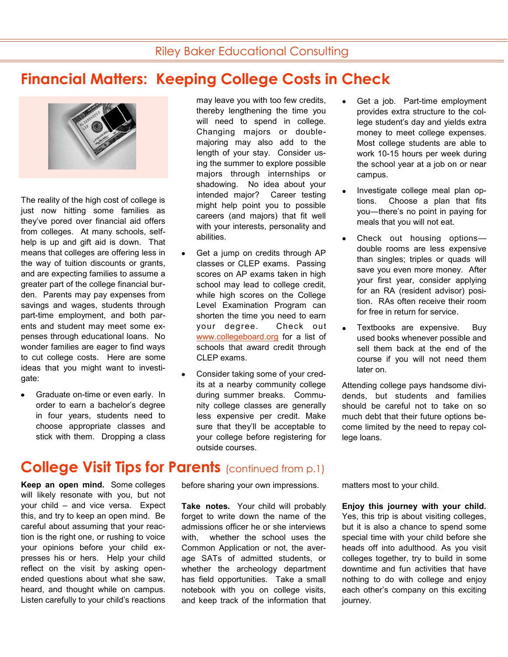may leave you with too few credits, thereby lengthening the time you will need to spend in college. Changing majors or doublemajoring may also add to the length of your stay. Consider using the summer to explore possible majors through internships or shadowing. No idea about your intended major? Career testing might help point you to possible careers (and majors) that fit well

## **Financial Matters: Keeping College Costs in Check**



The reality of the high cost of college is just now hitting some families as they've pored over financial aid offers from colleges. At many schools, selfhelp is up and gift aid is down. That means that colleges are offering less in the way of tuition discounts or grants, and are expecting families to assume a greater part of the college financial burden. Parents may pay expenses from savings and wages, students through part-time employment, and both parents and student may meet some expenses through educational loans. No wonder families are eager to find ways to cut college costs. Here are some ideas that you might want to investigate:

Graduate on-time or even early. In order to earn a bachelor's degree in four years, students need to choose appropriate classes and stick with them. Dropping a class

with your interests, personality and abilities. Get a jump on credits through AP classes or CLEP exams. Passing scores on AP exams taken in high

- school may lead to college credit, while high scores on the College Level Examination Program can shorten the time you need to earn your degree. Check out [www.collegeboard.org](http://clep.collegeboard.org/search/colleges/international) for a list of schools that award credit through CLEP exams.
- Consider taking some of your credits at a nearby community college during summer breaks. Community college classes are generally less expensive per credit. Make sure that they'll be acceptable to your college before registering for outside courses.
- Get a job. Part-time employment provides extra structure to the college student's day and yields extra money to meet college expenses. Most college students are able to work 10-15 hours per week during the school year at a job on or near campus.
- Investigate college meal plan options. Choose a plan that fits you—there's no point in paying for meals that you will not eat.
- Check out housing options double rooms are less expensive than singles; triples or quads will save you even more money. After your first year, consider applying for an RA (resident advisor) position. RAs often receive their room for free in return for service.
- Textbooks are expensive. Buy  $\bullet$ used books whenever possible and sell them back at the end of the course if you will not need them later on.

Attending college pays handsome dividends, but students and families should be careful not to take on so much debt that their future options become limited by the need to repay college loans.

# **College Visit Tips for Parents (continued from p.1)**

**Keep an open mind.** Some colleges will likely resonate with you, but not your child – and vice versa. Expect this, and try to keep an open mind. Be careful about assuming that your reaction is the right one, or rushing to voice your opinions before your child expresses his or hers. Help your child reflect on the visit by asking openended questions about what she saw, heard, and thought while on campus. Listen carefully to your child's reactions before sharing your own impressions.

**Take notes.** Your child will probably forget to write down the name of the admissions officer he or she interviews with, whether the school uses the Common Application or not, the average SATs of admitted students, or whether the archeology department has field opportunities. Take a small notebook with you on college visits, and keep track of the information that matters most to your child.

**Enjoy this journey with your child.** Yes, this trip is about visiting colleges, but it is also a chance to spend some special time with your child before she heads off into adulthood. As you visit colleges together, try to build in some downtime and fun activities that have nothing to do with college and enjoy each other's company on this exciting journey.